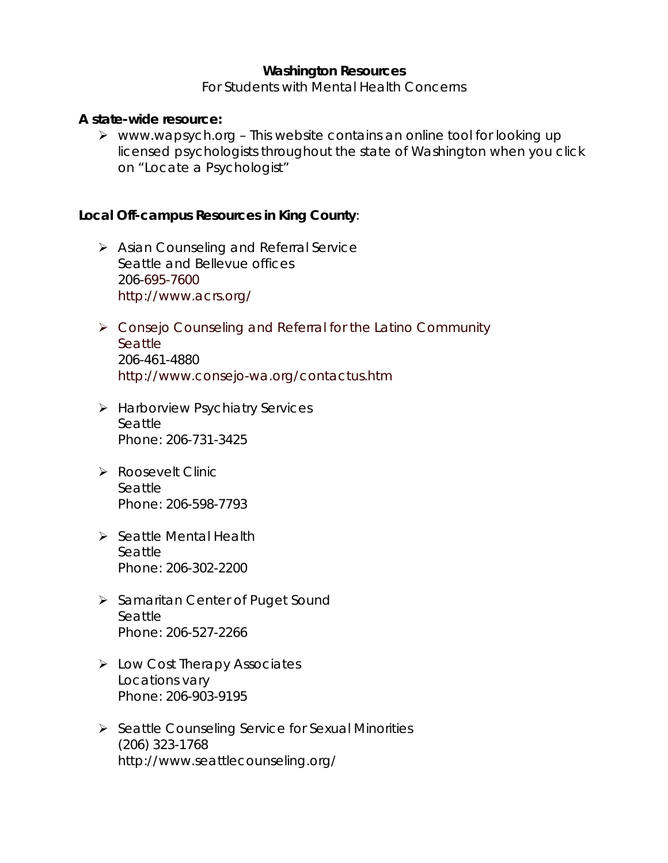# **Washington Resources**

For Students with Mental Health Concerns

## **A state-wide resource:**

 $\triangleright$  www.wapsych.org - This website contains an online tool for looking up licensed psychologists throughout the state of Washington when you click on "Locate a Psychologist"

## **Local Off-campus Resources in King County**:

- ¾ Asian Counseling and Referral Service Seattle and Bellevue offices 206-695-7600 http://www.acrs.org/
- ¾ Consejo Counseling and Referral for the Latino Community **Seattle** 206-461-4880 http://www.consejo-wa.org/contactus.htm
- ¾ Harborview Psychiatry Services Seattle Phone: 206-731-3425
- ¾ Roosevelt Clinic Seattle Phone: 206-598-7793
- ¾ Seattle Mental Health Seattle Phone: 206-302-2200
- ¾ Samaritan Center of Puget Sound Seattle Phone: 206-527-2266
- ¾ Low Cost Therapy Associates Locations vary Phone: 206-903-9195
- ¾ Seattle Counseling Service for Sexual Minorities (206) 323-1768 http://www.seattlecounseling.org/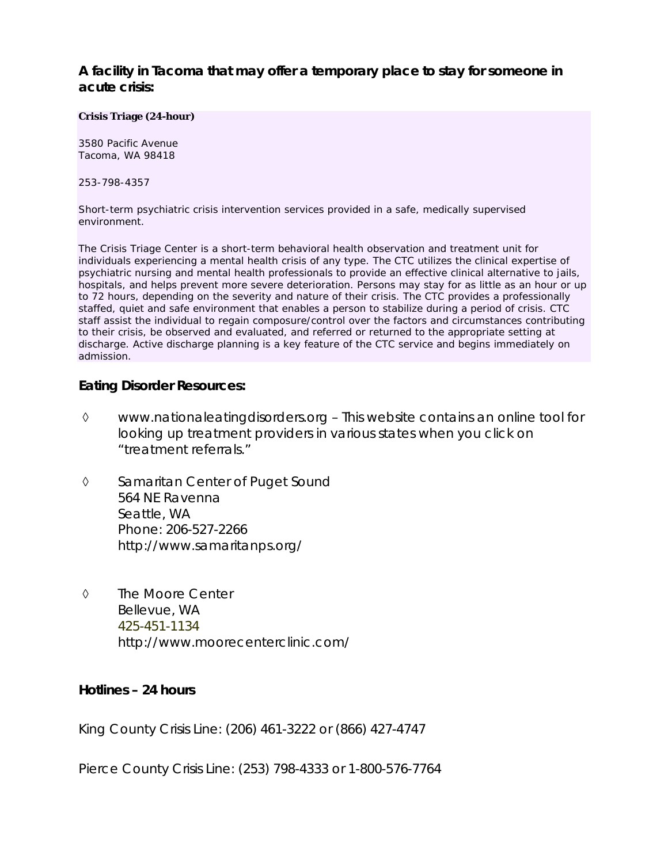**A facility in Tacoma that may offer a temporary place to stay for someone in acute crisis:** 

#### **Crisis Triage (24-hour)**

3580 Pacific Avenue Tacoma, WA 98418

253-798-4357

Short-term psychiatric crisis intervention services provided in a safe, medically supervised environment.

The Crisis Triage Center is a short-term behavioral health observation and treatment unit for individuals experiencing a mental health crisis of any type. The CTC utilizes the clinical expertise of psychiatric nursing and mental health professionals to provide an effective clinical alternative to jails, hospitals, and helps prevent more severe deterioration. Persons may stay for as little as an hour or up to 72 hours, depending on the severity and nature of their crisis. The CTC provides a professionally staffed, quiet and safe environment that enables a person to stabilize during a period of crisis. CTC staff assist the individual to regain composure/control over the factors and circumstances contributing to their crisis, be observed and evaluated, and referred or returned to the appropriate setting at discharge. Active discharge planning is a key feature of the CTC service and begins immediately on admission.

### **Eating Disorder Resources:**

- ◊ www.nationaleatingdisorders.org This website contains an online tool for looking up treatment providers in various states when you click on "treatment referrals."
- ◊ Samaritan Center of Puget Sound 564 NE Ravenna Seattle, WA Phone: 206-527-2266 http://www.samaritanps.org/
- ◊ The Moore Center Bellevue, WA 425-451-1134 http://www.moorecenterclinic.com/

### **Hotlines – 24 hours**

King County Crisis Line: (206) 461-3222 or (866) 427-4747

Pierce County Crisis Line: (253) 798-4333 or 1-800-576-7764